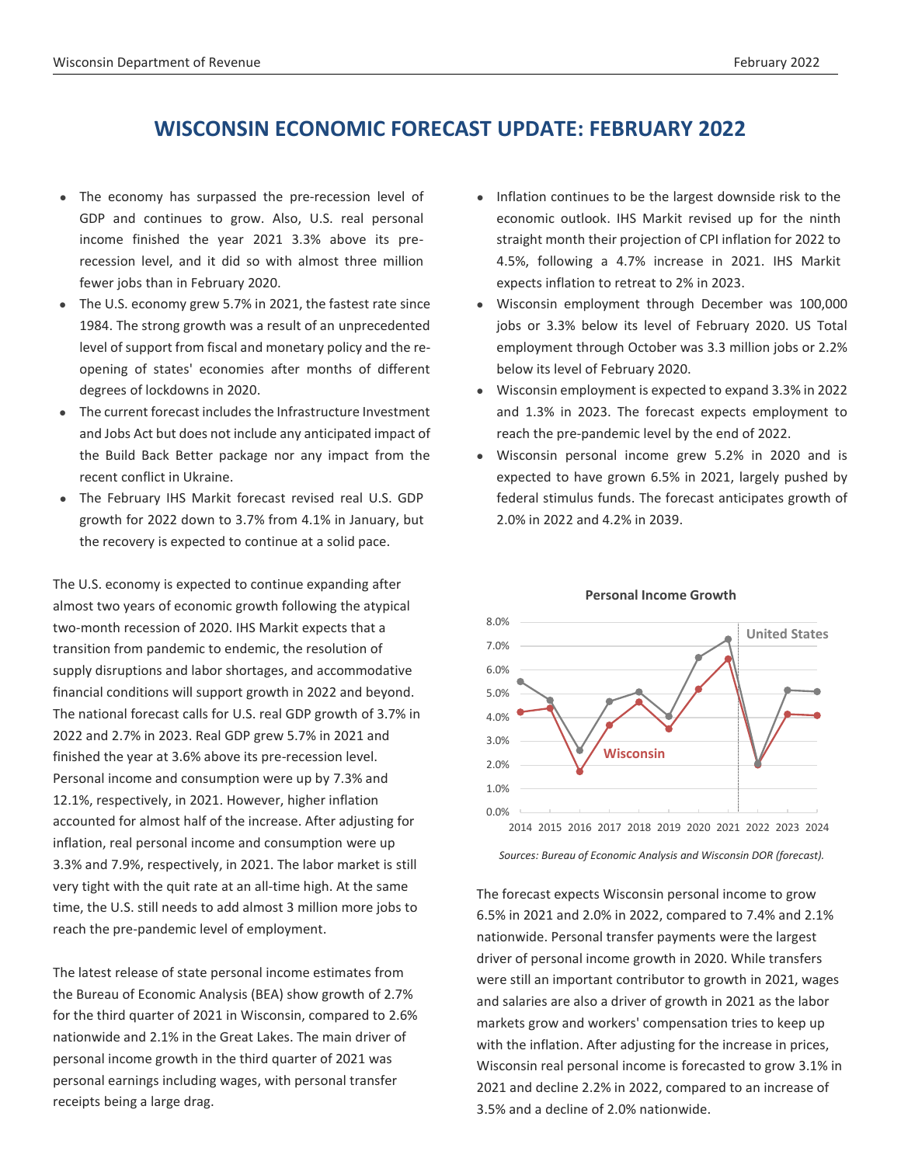# **WISCONSIN ECONOMIC FORECAST UPDATE: FEBRUARY 2022**

- The economy has surpassed the pre-recession level of GDP and continues to grow. Also, U.S. real personal income finished the year 2021 3.3% above its prerecession level, and it did so with almost three million fewer jobs than in February 2020.
- The U.S. economy grew 5.7% in 2021, the fastest rate since 1984. The strong growth was a result of an unprecedented level of support from fiscal and monetary policy and the reopening of states' economies after months of different degrees of lockdowns in 2020.
- The current forecast includesthe Infrastructure Investment and Jobs Act but does not include any anticipated impact of the Build Back Better package nor any impact from the recent conflict in Ukraine.
- The February IHS Markit forecast revised real U.S. GDP growth for 2022 down to 3.7% from 4.1% in January, but the recovery is expected to continue at a solid pace.

The U.S. economy is expected to continue expanding after almost two years of economic growth following the atypical two-month recession of 2020. IHS Markit expects that a transition from pandemic to endemic, the resolution of supply disruptions and labor shortages, and accommodative financial conditions will support growth in 2022 and beyond. The national forecast calls for U.S. real GDP growth of 3.7% in 2022 and 2.7% in 2023. Real GDP grew 5.7% in 2021 and finished the year at 3.6% above its pre-recession level. Personal income and consumption were up by 7.3% and 12.1%, respectively, in 2021. However, higher inflation accounted for almost half of the increase. After adjusting for inflation, real personal income and consumption were up 3.3% and 7.9%, respectively, in 2021. The labor market is still very tight with the quit rate at an all-time high. At the same time, the U.S. still needs to add almost 3 million more jobs to reach the pre-pandemic level of employment.

The latest release of state personal income estimates from the Bureau of Economic Analysis (BEA) show growth of 2.7% for the third quarter of 2021 in Wisconsin, compared to 2.6% nationwide and 2.1% in the Great Lakes. The main driver of personal income growth in the third quarter of 2021 was personal earnings including wages, with personal transfer receipts being a large drag.

- Inflation continues to be the largest downside risk to the economic outlook. IHS Markit revised up for the ninth straight month their projection of CPI inflation for 2022 to 4.5%, following a 4.7% increase in 2021. IHS Markit expects inflation to retreat to 2% in 2023.
- Wisconsin employment through December was 100,000 jobs or 3.3% below its level of February 2020. US Total employment through October was 3.3 million jobs or 2.2% below its level of February 2020.
- Wisconsin employment is expected to expand 3.3% in 2022 and 1.3% in 2023. The forecast expects employment to reach the pre-pandemic level by the end of 2022.
- Wisconsin personal income grew 5.2% in 2020 and is expected to have grown 6.5% in 2021, largely pushed by federal stimulus funds. The forecast anticipates growth of 2.0% in 2022 and 4.2% in 2039.



## **Personal Income Growth**

*Sources: Bureau of Economic Analysis and Wisconsin DOR (forecast).*

The forecast expects Wisconsin personal income to grow 6.5% in 2021 and 2.0% in 2022, compared to 7.4% and 2.1% nationwide. Personal transfer payments were the largest driver of personal income growth in 2020. While transfers were still an important contributor to growth in 2021, wages and salaries are also a driver of growth in 2021 as the labor markets grow and workers' compensation tries to keep up with the inflation. After adjusting for the increase in prices, Wisconsin real personal income is forecasted to grow 3.1% in 2021 and decline 2.2% in 2022, compared to an increase of 3.5% and a decline of 2.0% nationwide.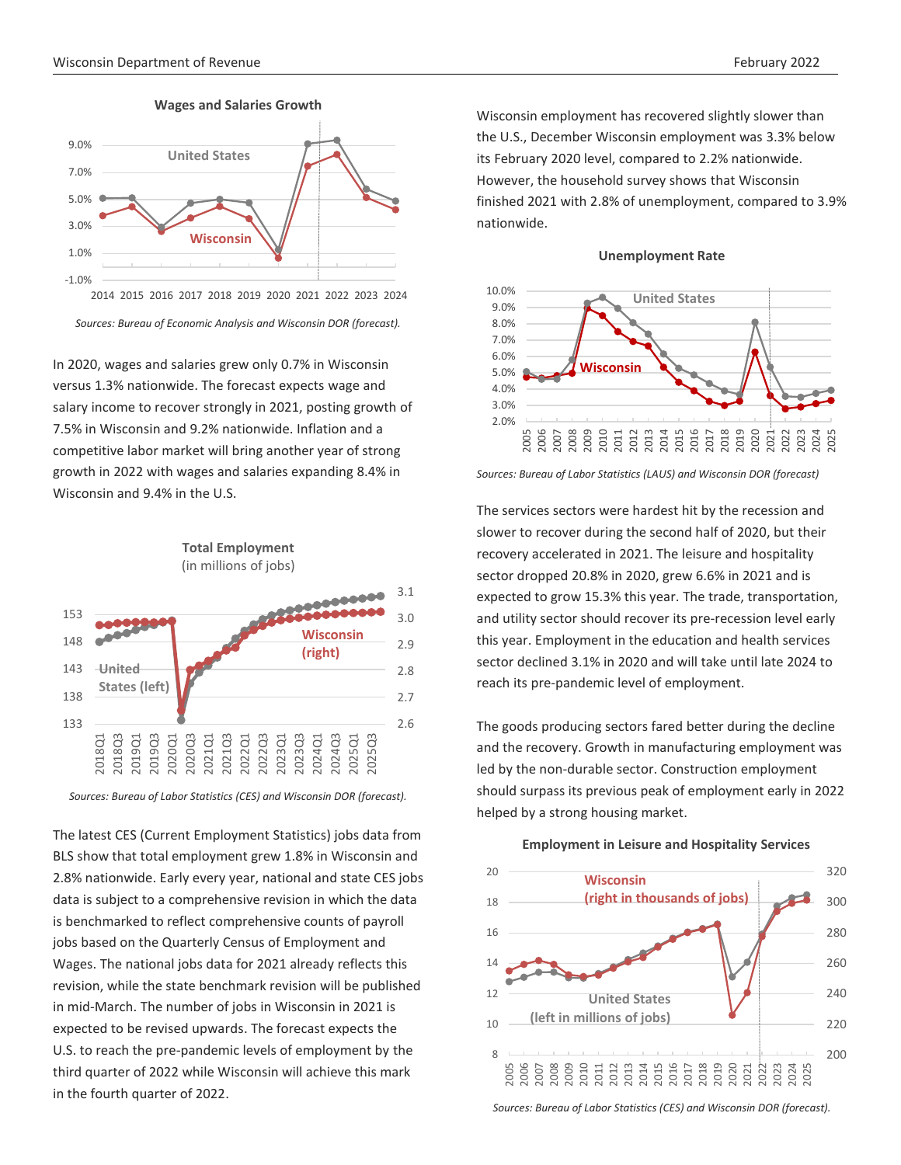

*Sources: Bureau of Economic Analysis and Wisconsin DOR (forecast).*

In 2020, wages and salaries grew only 0.7% in Wisconsin versus 1.3% nationwide. The forecast expects wage and salary income to recover strongly in 2021, posting growth of 7.5% in Wisconsin and 9.2% nationwide. Inflation and a competitive labor market will bring another year of strong growth in 2022 with wages and salaries expanding 8.4% in Wisconsin and 9.4% in the U.S.





The latest CES (Current Employment Statistics) jobs data from BLS show that total employment grew 1.8% in Wisconsin and 2.8% nationwide. Early every year, national and state CES jobs data is subject to a comprehensive revision in which the data is benchmarked to reflect comprehensive counts of payroll jobs based on the Quarterly Census of Employment and Wages. The national jobs data for 2021 already reflects this revision, while the state benchmark revision will be published in mid-March. The number of jobs in Wisconsin in 2021 is expected to be revised upwards. The forecast expects the U.S. to reach the pre-pandemic levels of employment by the third quarter of 2022 while Wisconsin will achieve this mark in the fourth quarter of 2022.

Wisconsin employment has recovered slightly slower than the U.S., December Wisconsin employment was 3.3% below its February 2020 level, compared to 2.2% nationwide. However, the household survey shows that Wisconsin finished 2021 with 2.8% of unemployment, compared to 3.9% nationwide.





*Sources: Bureau of Labor Statistics (LAUS) and Wisconsin DOR (forecast)*

The services sectors were hardest hit by the recession and slower to recover during the second half of 2020, but their recovery accelerated in 2021. The leisure and hospitality sector dropped 20.8% in 2020, grew 6.6% in 2021 and is expected to grow 15.3% this year. The trade, transportation, and utility sector should recover its pre-recession level early this year. Employment in the education and health services sector declined 3.1% in 2020 and will take until late 2024 to reach its pre-pandemic level of employment.

The goods producing sectors fared better during the decline and the recovery. Growth in manufacturing employment was led by the non-durable sector. Construction employment should surpass its previous peak of employment early in 2022 helped by a strong housing market.



*Sources: Bureau of Labor Statistics (CES) and Wisconsin DOR (forecast).*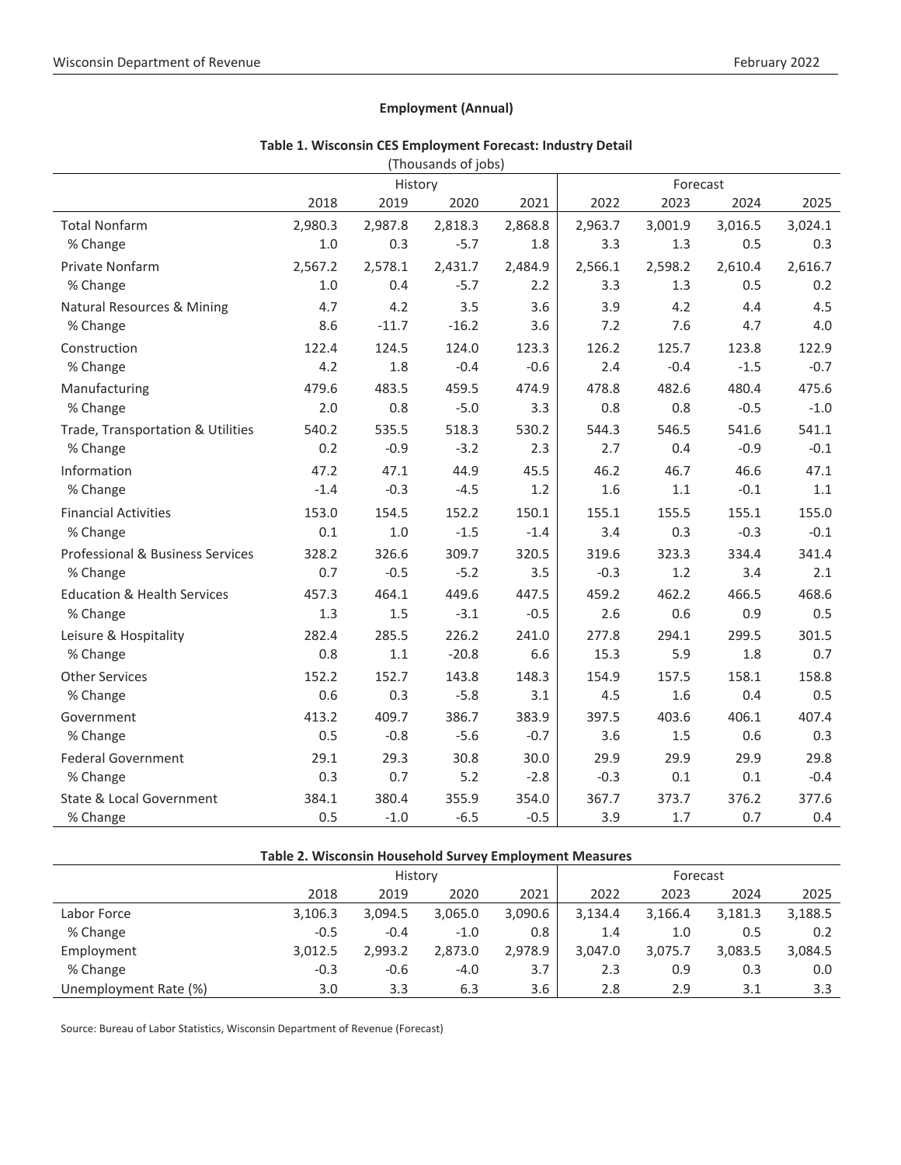## **Employment (Annual)**

|                                        |         | History |         |         |         | Forecast |         |         |
|----------------------------------------|---------|---------|---------|---------|---------|----------|---------|---------|
|                                        | 2018    | 2019    | 2020    | 2021    | 2022    | 2023     | 2024    | 2025    |
| <b>Total Nonfarm</b>                   | 2,980.3 | 2,987.8 | 2,818.3 | 2,868.8 | 2,963.7 | 3,001.9  | 3,016.5 | 3,024.1 |
| % Change                               | 1.0     | 0.3     | $-5.7$  | 1.8     | 3.3     | 1.3      | 0.5     | 0.3     |
| Private Nonfarm                        | 2,567.2 | 2,578.1 | 2,431.7 | 2,484.9 | 2,566.1 | 2,598.2  | 2,610.4 | 2,616.7 |
| % Change                               | $1.0$   | 0.4     | $-5.7$  | 2.2     | 3.3     | 1.3      | 0.5     | 0.2     |
| Natural Resources & Mining             | 4.7     | 4.2     | 3.5     | 3.6     | 3.9     | 4.2      | 4.4     | 4.5     |
| % Change                               | 8.6     | $-11.7$ | $-16.2$ | 3.6     | 7.2     | 7.6      | 4.7     | 4.0     |
| Construction                           | 122.4   | 124.5   | 124.0   | 123.3   | 126.2   | 125.7    | 123.8   | 122.9   |
| % Change                               | 4.2     | 1.8     | $-0.4$  | $-0.6$  | 2.4     | $-0.4$   | $-1.5$  | $-0.7$  |
| Manufacturing                          | 479.6   | 483.5   | 459.5   | 474.9   | 478.8   | 482.6    | 480.4   | 475.6   |
| % Change                               | 2.0     | 0.8     | $-5.0$  | 3.3     | 0.8     | 0.8      | $-0.5$  | $-1.0$  |
| Trade, Transportation & Utilities      | 540.2   | 535.5   | 518.3   | 530.2   | 544.3   | 546.5    | 541.6   | 541.1   |
| % Change                               | 0.2     | $-0.9$  | $-3.2$  | 2.3     | 2.7     | 0.4      | $-0.9$  | $-0.1$  |
| Information                            | 47.2    | 47.1    | 44.9    | 45.5    | 46.2    | 46.7     | 46.6    | 47.1    |
| % Change                               | $-1.4$  | $-0.3$  | $-4.5$  | 1.2     | 1.6     | 1.1      | $-0.1$  | 1.1     |
| <b>Financial Activities</b>            | 153.0   | 154.5   | 152.2   | 150.1   | 155.1   | 155.5    | 155.1   | 155.0   |
| % Change                               | 0.1     | 1.0     | $-1.5$  | $-1.4$  | 3.4     | 0.3      | $-0.3$  | $-0.1$  |
| Professional & Business Services       | 328.2   | 326.6   | 309.7   | 320.5   | 319.6   | 323.3    | 334.4   | 341.4   |
| % Change                               | 0.7     | $-0.5$  | $-5.2$  | 3.5     | $-0.3$  | 1.2      | 3.4     | 2.1     |
| <b>Education &amp; Health Services</b> | 457.3   | 464.1   | 449.6   | 447.5   | 459.2   | 462.2    | 466.5   | 468.6   |
| % Change                               | 1.3     | 1.5     | $-3.1$  | $-0.5$  | 2.6     | 0.6      | 0.9     | 0.5     |
| Leisure & Hospitality                  | 282.4   | 285.5   | 226.2   | 241.0   | 277.8   | 294.1    | 299.5   | 301.5   |
| % Change                               | 0.8     | 1.1     | $-20.8$ | 6.6     | 15.3    | 5.9      | 1.8     | 0.7     |
| <b>Other Services</b>                  | 152.2   | 152.7   | 143.8   | 148.3   | 154.9   | 157.5    | 158.1   | 158.8   |
| % Change                               | 0.6     | 0.3     | $-5.8$  | 3.1     | 4.5     | 1.6      | 0.4     | 0.5     |
| Government                             | 413.2   | 409.7   | 386.7   | 383.9   | 397.5   | 403.6    | 406.1   | 407.4   |
| % Change                               | 0.5     | $-0.8$  | $-5.6$  | $-0.7$  | 3.6     | 1.5      | 0.6     | 0.3     |
| <b>Federal Government</b>              | 29.1    | 29.3    | 30.8    | 30.0    | 29.9    | 29.9     | 29.9    | 29.8    |
| % Change                               | 0.3     | 0.7     | 5.2     | $-2.8$  | $-0.3$  | 0.1      | 0.1     | $-0.4$  |
| State & Local Government               | 384.1   | 380.4   | 355.9   | 354.0   | 367.7   | 373.7    | 376.2   | 377.6   |
| % Change                               | 0.5     | $-1.0$  | $-6.5$  | $-0.5$  | 3.9     | 1.7      | 0.7     | 0.4     |

## **Table 1. Wisconsin CES Employment Forecast: Industry Detail** (Thousands of jobs)

| Table 2. Wisconsin Household Survey Employment Measures |         |         |         |          |         |         |         |         |  |  |
|---------------------------------------------------------|---------|---------|---------|----------|---------|---------|---------|---------|--|--|
|                                                         |         | History |         | Forecast |         |         |         |         |  |  |
|                                                         | 2018    | 2019    | 2020    | 2021     | 2022    | 2023    | 2024    | 2025    |  |  |
| Labor Force                                             | 3,106.3 | 3,094.5 | 3,065.0 | 3,090.6  | 3,134.4 | 3,166.4 | 3,181.3 | 3,188.5 |  |  |
| % Change                                                | $-0.5$  | $-0.4$  | $-1.0$  | 0.8      | 1.4     | 1.0     | 0.5     | 0.2     |  |  |
| Employment                                              | 3,012.5 | 2,993.2 | 2.873.0 | 2,978.9  | 3.047.0 | 3,075.7 | 3,083.5 | 3,084.5 |  |  |
| % Change                                                | $-0.3$  | $-0.6$  | $-4.0$  | 3.7      | 2.3     | 0.9     | 0.3     | 0.0     |  |  |
| Unemployment Rate (%)                                   | 3.0     | 3.3     | 6.3     | 3.6      | 2.8     | 2.9     | 3.1     | 3.3     |  |  |

Source: Bureau of Labor Statistics, Wisconsin Department of Revenue (Forecast)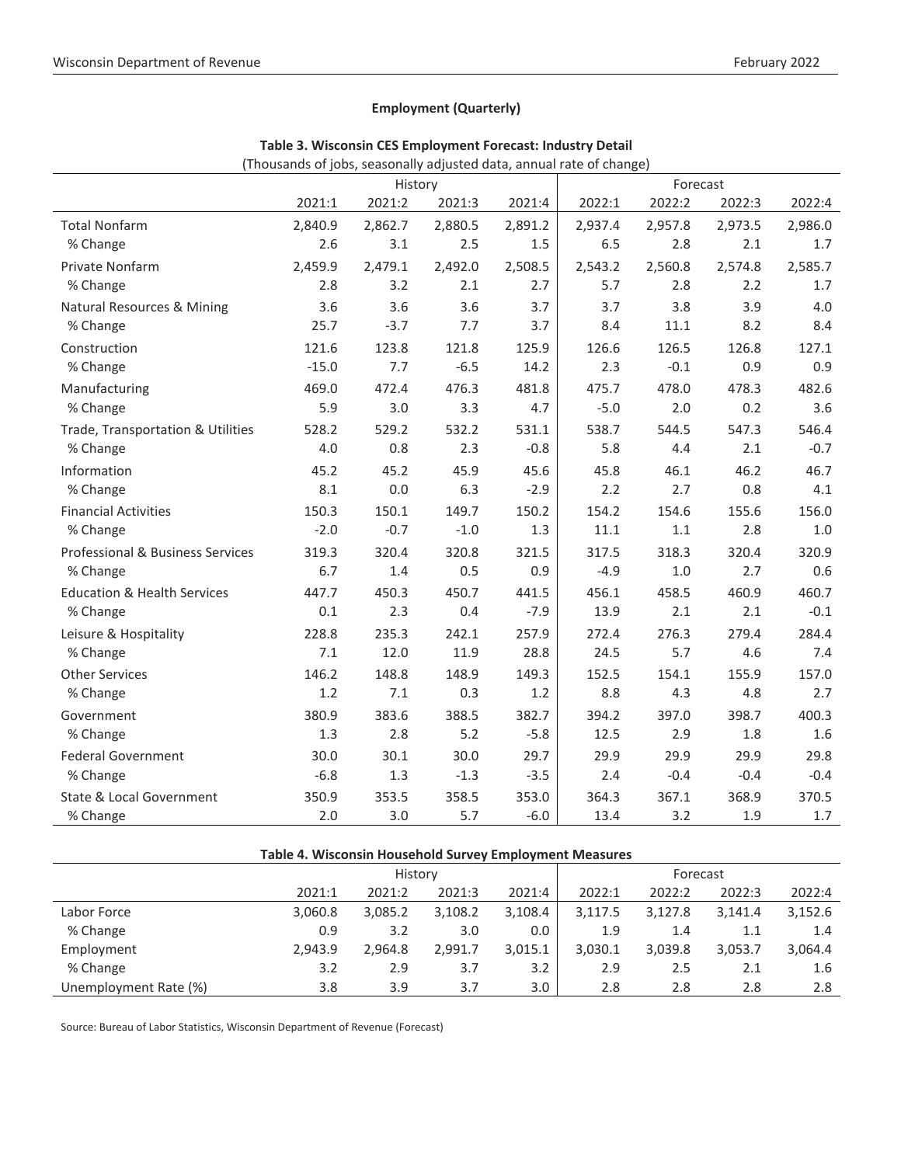## **Employment (Quarterly)**

|                                        | $\sim$ . Thousands or jobs, scasonary adjusted data, annual rate or change, |         |         |         |         |          |         |         |
|----------------------------------------|-----------------------------------------------------------------------------|---------|---------|---------|---------|----------|---------|---------|
|                                        |                                                                             | History |         |         |         | Forecast |         |         |
|                                        | 2021:1                                                                      | 2021:2  | 2021:3  | 2021:4  | 2022:1  | 2022:2   | 2022:3  | 2022:4  |
| <b>Total Nonfarm</b>                   | 2,840.9                                                                     | 2,862.7 | 2,880.5 | 2,891.2 | 2,937.4 | 2,957.8  | 2,973.5 | 2,986.0 |
| % Change                               | 2.6                                                                         | 3.1     | 2.5     | 1.5     | 6.5     | 2.8      | 2.1     | 1.7     |
| Private Nonfarm                        | 2,459.9                                                                     | 2,479.1 | 2,492.0 | 2,508.5 | 2,543.2 | 2,560.8  | 2,574.8 | 2,585.7 |
| % Change                               | 2.8                                                                         | 3.2     | 2.1     | 2.7     | 5.7     | 2.8      | 2.2     | 1.7     |
| <b>Natural Resources &amp; Mining</b>  | 3.6                                                                         | 3.6     | 3.6     | 3.7     | 3.7     | 3.8      | 3.9     | 4.0     |
| % Change                               | 25.7                                                                        | $-3.7$  | 7.7     | 3.7     | 8.4     | 11.1     | 8.2     | 8.4     |
| Construction                           | 121.6                                                                       | 123.8   | 121.8   | 125.9   | 126.6   | 126.5    | 126.8   | 127.1   |
| % Change                               | $-15.0$                                                                     | 7.7     | $-6.5$  | 14.2    | 2.3     | $-0.1$   | 0.9     | 0.9     |
| Manufacturing                          | 469.0                                                                       | 472.4   | 476.3   | 481.8   | 475.7   | 478.0    | 478.3   | 482.6   |
| % Change                               | 5.9                                                                         | 3.0     | 3.3     | 4.7     | $-5.0$  | 2.0      | 0.2     | 3.6     |
| Trade, Transportation & Utilities      | 528.2                                                                       | 529.2   | 532.2   | 531.1   | 538.7   | 544.5    | 547.3   | 546.4   |
| % Change                               | 4.0                                                                         | 0.8     | 2.3     | $-0.8$  | 5.8     | 4.4      | 2.1     | $-0.7$  |
| Information                            | 45.2                                                                        | 45.2    | 45.9    | 45.6    | 45.8    | 46.1     | 46.2    | 46.7    |
| % Change                               | 8.1                                                                         | 0.0     | 6.3     | $-2.9$  | 2.2     | 2.7      | 0.8     | 4.1     |
| <b>Financial Activities</b>            | 150.3                                                                       | 150.1   | 149.7   | 150.2   | 154.2   | 154.6    | 155.6   | 156.0   |
| % Change                               | $-2.0$                                                                      | $-0.7$  | $-1.0$  | 1.3     | 11.1    | 1.1      | 2.8     | $1.0$   |
| Professional & Business Services       | 319.3                                                                       | 320.4   | 320.8   | 321.5   | 317.5   | 318.3    | 320.4   | 320.9   |
| % Change                               | 6.7                                                                         | 1.4     | 0.5     | 0.9     | $-4.9$  | 1.0      | 2.7     | 0.6     |
| <b>Education &amp; Health Services</b> | 447.7                                                                       | 450.3   | 450.7   | 441.5   | 456.1   | 458.5    | 460.9   | 460.7   |
| % Change                               | 0.1                                                                         | 2.3     | 0.4     | $-7.9$  | 13.9    | 2.1      | 2.1     | $-0.1$  |
| Leisure & Hospitality                  | 228.8                                                                       | 235.3   | 242.1   | 257.9   | 272.4   | 276.3    | 279.4   | 284.4   |
| % Change                               | 7.1                                                                         | 12.0    | 11.9    | 28.8    | 24.5    | 5.7      | 4.6     | 7.4     |
| <b>Other Services</b>                  | 146.2                                                                       | 148.8   | 148.9   | 149.3   | 152.5   | 154.1    | 155.9   | 157.0   |
| % Change                               | 1.2                                                                         | 7.1     | 0.3     | 1.2     | 8.8     | 4.3      | 4.8     | 2.7     |
| Government                             | 380.9                                                                       | 383.6   | 388.5   | 382.7   | 394.2   | 397.0    | 398.7   | 400.3   |
| % Change                               | 1.3                                                                         | 2.8     | 5.2     | $-5.8$  | 12.5    | 2.9      | 1.8     | 1.6     |
| <b>Federal Government</b>              | 30.0                                                                        | 30.1    | 30.0    | 29.7    | 29.9    | 29.9     | 29.9    | 29.8    |
| % Change                               | $-6.8$                                                                      | 1.3     | $-1.3$  | $-3.5$  | 2.4     | $-0.4$   | $-0.4$  | $-0.4$  |
| State & Local Government               | 350.9                                                                       | 353.5   | 358.5   | 353.0   | 364.3   | 367.1    | 368.9   | 370.5   |
| % Change                               | 2.0                                                                         | 3.0     | 5.7     | $-6.0$  | 13.4    | 3.2      | 1.9     | 1.7     |

| Table 3. Wisconsin CES Employment Forecast: Industry Detail |  |
|-------------------------------------------------------------|--|
|                                                             |  |

(Thousands of jobs, seasonally adjusted data, annual rate of change)

| Table 4. Wisconsin Household Survey Employment Measures |         |         |         |         |         |         |          |         |  |  |  |
|---------------------------------------------------------|---------|---------|---------|---------|---------|---------|----------|---------|--|--|--|
|                                                         |         | History |         |         |         |         | Forecast |         |  |  |  |
|                                                         | 2021:1  | 2021:2  | 2021:3  | 2021:4  | 2022:1  | 2022:2  | 2022:3   | 2022:4  |  |  |  |
| Labor Force                                             | 3,060.8 | 3,085.2 | 3,108.2 | 3,108.4 | 3,117.5 | 3,127.8 | 3.141.4  | 3,152.6 |  |  |  |
| % Change                                                | 0.9     | 3.2     | 3.0     | 0.0     | 1.9     | 1.4     | 1.1      | 1.4     |  |  |  |
| Employment                                              | 2.943.9 | 2.964.8 | 2,991.7 | 3,015.1 | 3,030.1 | 3,039.8 | 3,053.7  | 3,064.4 |  |  |  |
| % Change                                                | 3.2     | 2.9     | 3.7     | 3.2     | 2.9     | 2.5     | 2.1      | 1.6     |  |  |  |
| Unemployment Rate (%)                                   | 3.8     | 3.9     | 3.7     | 3.0     | 2.8     | 2.8     | 2.8      | 2.8     |  |  |  |

Source: Bureau of Labor Statistics, Wisconsin Department of Revenue (Forecast)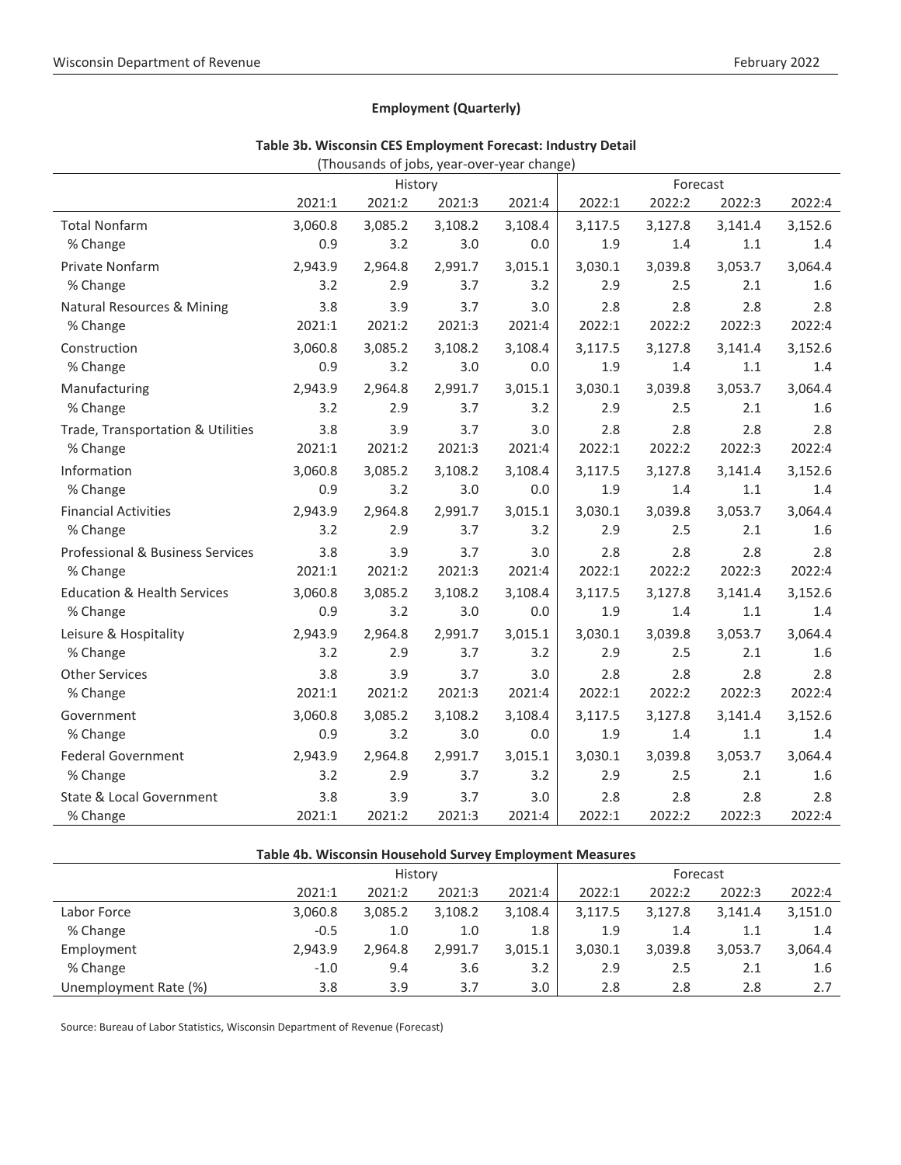## **Employment (Quarterly)**

|                                        |         | (Thousands of jobs, year-over-year change) |         |         |         |         |         |         |
|----------------------------------------|---------|--------------------------------------------|---------|---------|---------|---------|---------|---------|
|                                        |         | History                                    |         |         |         |         |         |         |
|                                        | 2021:1  | 2021:2                                     | 2021:3  | 2021:4  | 2022:1  | 2022:2  | 2022:3  | 2022:4  |
| <b>Total Nonfarm</b>                   | 3,060.8 | 3,085.2                                    | 3,108.2 | 3,108.4 | 3,117.5 | 3,127.8 | 3,141.4 | 3,152.6 |
| % Change                               | 0.9     | 3.2                                        | 3.0     | 0.0     | 1.9     | 1.4     | 1.1     | 1.4     |
| <b>Private Nonfarm</b>                 | 2,943.9 | 2,964.8                                    | 2,991.7 | 3,015.1 | 3,030.1 | 3,039.8 | 3,053.7 | 3,064.4 |
| % Change                               | 3.2     | 2.9                                        | 3.7     | 3.2     | 2.9     | 2.5     | 2.1     | 1.6     |
| <b>Natural Resources &amp; Mining</b>  | 3.8     | 3.9                                        | 3.7     | 3.0     | 2.8     | 2.8     | 2.8     | 2.8     |
| % Change                               | 2021:1  | 2021:2                                     | 2021:3  | 2021:4  | 2022:1  | 2022:2  | 2022:3  | 2022:4  |
| Construction                           | 3,060.8 | 3,085.2                                    | 3,108.2 | 3,108.4 | 3,117.5 | 3,127.8 | 3,141.4 | 3,152.6 |
| % Change                               | 0.9     | 3.2                                        | 3.0     | 0.0     | 1.9     | 1.4     | 1.1     | 1.4     |
| Manufacturing                          | 2,943.9 | 2,964.8                                    | 2,991.7 | 3,015.1 | 3,030.1 | 3,039.8 | 3,053.7 | 3,064.4 |
| % Change                               | 3.2     | 2.9                                        | 3.7     | 3.2     | 2.9     | 2.5     | 2.1     | 1.6     |
| Trade, Transportation & Utilities      | 3.8     | 3.9                                        | 3.7     | 3.0     | 2.8     | 2.8     | 2.8     | 2.8     |
| % Change                               | 2021:1  | 2021:2                                     | 2021:3  | 2021:4  | 2022:1  | 2022:2  | 2022:3  | 2022:4  |
| Information                            | 3,060.8 | 3,085.2                                    | 3,108.2 | 3,108.4 | 3,117.5 | 3,127.8 | 3,141.4 | 3,152.6 |
| % Change                               | 0.9     | 3.2                                        | 3.0     | 0.0     | 1.9     | 1.4     | 1.1     | 1.4     |
| <b>Financial Activities</b>            | 2,943.9 | 2,964.8                                    | 2,991.7 | 3,015.1 | 3,030.1 | 3,039.8 | 3,053.7 | 3,064.4 |
| % Change                               | 3.2     | 2.9                                        | 3.7     | 3.2     | 2.9     | 2.5     | 2.1     | 1.6     |
| Professional & Business Services       | 3.8     | 3.9                                        | 3.7     | 3.0     | 2.8     | 2.8     | 2.8     | 2.8     |
| % Change                               | 2021:1  | 2021:2                                     | 2021:3  | 2021:4  | 2022:1  | 2022:2  | 2022:3  | 2022:4  |
| <b>Education &amp; Health Services</b> | 3,060.8 | 3,085.2                                    | 3,108.2 | 3,108.4 | 3,117.5 | 3,127.8 | 3,141.4 | 3,152.6 |
| % Change                               | 0.9     | 3.2                                        | 3.0     | 0.0     | 1.9     | 1.4     | 1.1     | 1.4     |
| Leisure & Hospitality                  | 2,943.9 | 2,964.8                                    | 2,991.7 | 3,015.1 | 3,030.1 | 3,039.8 | 3,053.7 | 3,064.4 |
| % Change                               | 3.2     | 2.9                                        | 3.7     | 3.2     | 2.9     | 2.5     | 2.1     | 1.6     |
| <b>Other Services</b>                  | 3.8     | 3.9                                        | 3.7     | 3.0     | 2.8     | 2.8     | 2.8     | 2.8     |
| % Change                               | 2021:1  | 2021:2                                     | 2021:3  | 2021:4  | 2022:1  | 2022:2  | 2022:3  | 2022:4  |
| Government                             | 3,060.8 | 3,085.2                                    | 3,108.2 | 3,108.4 | 3,117.5 | 3,127.8 | 3,141.4 | 3,152.6 |
| % Change                               | 0.9     | 3.2                                        | 3.0     | 0.0     | 1.9     | 1.4     | 1.1     | 1.4     |
| <b>Federal Government</b>              | 2,943.9 | 2,964.8                                    | 2,991.7 | 3,015.1 | 3,030.1 | 3,039.8 | 3,053.7 | 3,064.4 |
| % Change                               | 3.2     | 2.9                                        | 3.7     | 3.2     | 2.9     | 2.5     | 2.1     | 1.6     |
| <b>State &amp; Local Government</b>    | 3.8     | 3.9                                        | 3.7     | 3.0     | 2.8     | 2.8     | 2.8     | 2.8     |
| % Change                               | 2021:1  | 2021:2                                     | 2021:3  | 2021:4  | 2022:1  | 2022:2  | 2022:3  | 2022:4  |

**Table 4b. Wisconsin Household Survey Employment Measures**

Labor Force 3,060.8 3,085.2 3,108.2 3,108.4 3,117.5 3,127.8 3,141.4 3,151.0 % Change -0.5 1.0 1.0 1.8 1.9 1.4 1.1 1.4 Employment 2,943.9 2,964.8 2,991.7 3,015.1 3,030.1 3,039.8 3,053.7 3,064.4 % Change -1.0 9.4 3.6 3.2 2.9 2.5 2.1 1.6 Unemployment Rate (%) 3.8 3.9 3.7 3.0 2.8 2.8 2.8 2.7

History **Forecast** 2021:1 2021:2 2021:3 2021:4 2022:1 2022:2 2022:3 2022:4

| Table 3b. Wisconsin CES Employment Forecast: Industry Detail |  |
|--------------------------------------------------------------|--|
|--------------------------------------------------------------|--|

Source: Bureau of Labor Statistics, Wisconsin Department of Revenue (Forecast)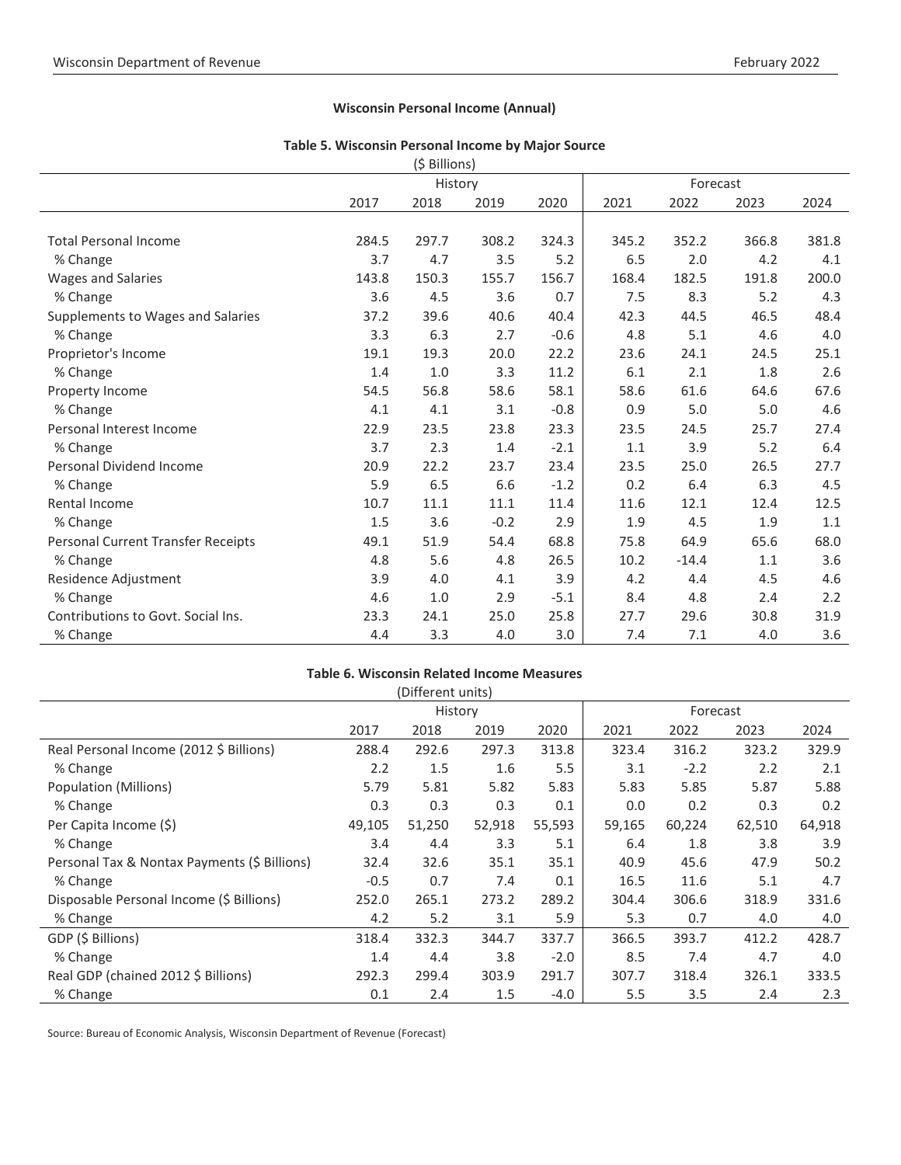## **Wisconsin Personal Income (Annual)**

#### **Table 5. Wisconsin Personal Income by Major Source** (\$ Billions)

|                                    |       | (S RIIIIOUS) |        |        |       |          |       |       |
|------------------------------------|-------|--------------|--------|--------|-------|----------|-------|-------|
|                                    |       | History      |        |        |       | Forecast |       |       |
|                                    | 2017  | 2018         | 2019   | 2020   | 2021  | 2022     | 2023  | 2024  |
|                                    |       |              |        |        |       |          |       |       |
| <b>Total Personal Income</b>       | 284.5 | 297.7        | 308.2  | 324.3  | 345.2 | 352.2    | 366.8 | 381.8 |
| % Change                           | 3.7   | 4.7          | 3.5    | 5.2    | 6.5   | 2.0      | 4.2   | 4.1   |
| <b>Wages and Salaries</b>          | 143.8 | 150.3        | 155.7  | 156.7  | 168.4 | 182.5    | 191.8 | 200.0 |
| % Change                           | 3.6   | 4.5          | 3.6    | 0.7    | 7.5   | 8.3      | 5.2   | 4.3   |
| Supplements to Wages and Salaries  | 37.2  | 39.6         | 40.6   | 40.4   | 42.3  | 44.5     | 46.5  | 48.4  |
| % Change                           | 3.3   | 6.3          | 2.7    | $-0.6$ | 4.8   | 5.1      | 4.6   | 4.0   |
| Proprietor's Income                | 19.1  | 19.3         | 20.0   | 22.2   | 23.6  | 24.1     | 24.5  | 25.1  |
| % Change                           | 1.4   | 1.0          | 3.3    | 11.2   | 6.1   | 2.1      | 1.8   | 2.6   |
| Property Income                    | 54.5  | 56.8         | 58.6   | 58.1   | 58.6  | 61.6     | 64.6  | 67.6  |
| % Change                           | 4.1   | 4.1          | 3.1    | $-0.8$ | 0.9   | 5.0      | 5.0   | 4.6   |
| Personal Interest Income           | 22.9  | 23.5         | 23.8   | 23.3   | 23.5  | 24.5     | 25.7  | 27.4  |
| % Change                           | 3.7   | 2.3          | 1.4    | $-2.1$ | 1.1   | 3.9      | 5.2   | 6.4   |
| <b>Personal Dividend Income</b>    | 20.9  | 22.2         | 23.7   | 23.4   | 23.5  | 25.0     | 26.5  | 27.7  |
| % Change                           | 5.9   | 6.5          | 6.6    | $-1.2$ | 0.2   | 6.4      | 6.3   | 4.5   |
| Rental Income                      | 10.7  | 11.1         | 11.1   | 11.4   | 11.6  | 12.1     | 12.4  | 12.5  |
| % Change                           | 1.5   | 3.6          | $-0.2$ | 2.9    | 1.9   | 4.5      | 1.9   | 1.1   |
| Personal Current Transfer Receipts | 49.1  | 51.9         | 54.4   | 68.8   | 75.8  | 64.9     | 65.6  | 68.0  |
| % Change                           | 4.8   | 5.6          | 4.8    | 26.5   | 10.2  | $-14.4$  | 1.1   | 3.6   |
| Residence Adjustment               | 3.9   | 4.0          | 4.1    | 3.9    | 4.2   | 4.4      | 4.5   | 4.6   |
| % Change                           | 4.6   | 1.0          | 2.9    | $-5.1$ | 8.4   | 4.8      | 2.4   | 2.2   |
| Contributions to Govt. Social Ins. | 23.3  | 24.1         | 25.0   | 25.8   | 27.7  | 29.6     | 30.8  | 31.9  |
| % Change                           | 4.4   | 3.3          | 4.0    | 3.0    | 7.4   | 7.1      | 4.0   | 3.6   |

## **Table 6. Wisconsin Related Income Measures**

|                                              |         | (Different units) |        |        |          |        |        |        |
|----------------------------------------------|---------|-------------------|--------|--------|----------|--------|--------|--------|
|                                              | History |                   |        |        | Forecast |        |        |        |
|                                              | 2017    | 2018              | 2019   | 2020   | 2021     | 2022   | 2023   | 2024   |
| Real Personal Income (2012 \$ Billions)      | 288.4   | 292.6             | 297.3  | 313.8  | 323.4    | 316.2  | 323.2  | 329.9  |
| % Change                                     | 2.2     | 1.5               | 1.6    | 5.5    | 3.1      | $-2.2$ | 2.2    | 2.1    |
| Population (Millions)                        | 5.79    | 5.81              | 5.82   | 5.83   | 5.83     | 5.85   | 5.87   | 5.88   |
| % Change                                     | 0.3     | 0.3               | 0.3    | 0.1    | 0.0      | 0.2    | 0.3    | 0.2    |
| Per Capita Income (\$)                       | 49,105  | 51,250            | 52,918 | 55,593 | 59,165   | 60,224 | 62,510 | 64,918 |
| % Change                                     | 3.4     | 4.4               | 3.3    | 5.1    | 6.4      | 1.8    | 3.8    | 3.9    |
| Personal Tax & Nontax Payments (\$ Billions) | 32.4    | 32.6              | 35.1   | 35.1   | 40.9     | 45.6   | 47.9   | 50.2   |
| % Change                                     | $-0.5$  | 0.7               | 7.4    | 0.1    | 16.5     | 11.6   | 5.1    | 4.7    |
| Disposable Personal Income (\$ Billions)     | 252.0   | 265.1             | 273.2  | 289.2  | 304.4    | 306.6  | 318.9  | 331.6  |
| % Change                                     | 4.2     | 5.2               | 3.1    | 5.9    | 5.3      | 0.7    | 4.0    | 4.0    |
| GDP (\$ Billions)                            | 318.4   | 332.3             | 344.7  | 337.7  | 366.5    | 393.7  | 412.2  | 428.7  |
| % Change                                     | 1.4     | 4.4               | 3.8    | $-2.0$ | 8.5      | 7.4    | 4.7    | 4.0    |
| Real GDP (chained 2012 \$ Billions)          | 292.3   | 299.4             | 303.9  | 291.7  | 307.7    | 318.4  | 326.1  | 333.5  |
| % Change                                     | 0.1     | 2.4               | 1.5    | $-4.0$ | 5.5      | 3.5    | 2.4    | 2.3    |

Source: Bureau of Economic Analysis, Wisconsin Department of Revenue (Forecast)